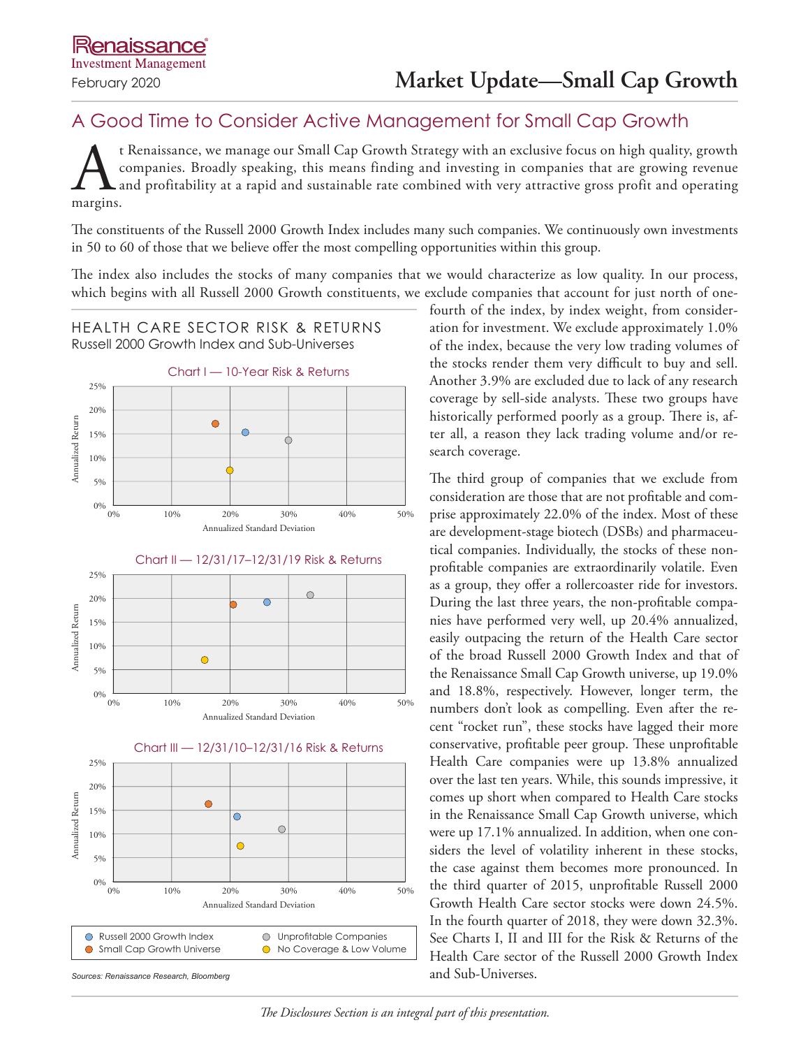## A Good Time to Consider Active Management for Small Cap Growth

t Renaissance, we manage our Small Cap Growth Strategy with an exclusive focus on high quality, growth companies. Broadly speaking, this means finding and investing in companies that are growing revenue and profitability at a rapid and sustainable rate combined with very attractive gross profit and operating margins.

The constituents of the Russell 2000 Growth Index includes many such companies. We continuously own investments in 50 to 60 of those that we believe offer the most compelling opportunities within this group.

The index also includes the stocks of many companies that we would characterize as low quality. In our process, which begins with all Russell 2000 Growth constituents, we exclude companies that account for just north of one-





fourth of the index, by index weight, from consideration for investment. We exclude approximately 1.0% of the index, because the very low trading volumes of the stocks render them very difficult to buy and sell. Another 3.9% are excluded due to lack of any research coverage by sell-side analysts. These two groups have historically performed poorly as a group. There is, after all, a reason they lack trading volume and/or research coverage.

The third group of companies that we exclude from consideration are those that are not profitable and comprise approximately 22.0% of the index. Most of these are development-stage biotech (DSBs) and pharmaceutical companies. Individually, the stocks of these nonprofitable companies are extraordinarily volatile. Even as a group, they offer a rollercoaster ride for investors. During the last three years, the non-profitable companies have performed very well, up 20.4% annualized, easily outpacing the return of the Health Care sector of the broad Russell 2000 Growth Index and that of the Renaissance Small Cap Growth universe, up 19.0% and 18.8%, respectively. However, longer term, the numbers don't look as compelling. Even after the recent "rocket run", these stocks have lagged their more conservative, profitable peer group. These unprofitable Health Care companies were up 13.8% annualized over the last ten years. While, this sounds impressive, it comes up short when compared to Health Care stocks in the Renaissance Small Cap Growth universe, which were up 17.1% annualized. In addition, when one considers the level of volatility inherent in these stocks, the case against them becomes more pronounced. In the third quarter of 2015, unprofitable Russell 2000 Growth Health Care sector stocks were down 24.5%. In the fourth quarter of 2018, they were down 32.3%. See Charts I, II and III for the Risk & Returns of the Health Care sector of the Russell 2000 Growth Index and Sub-Universes.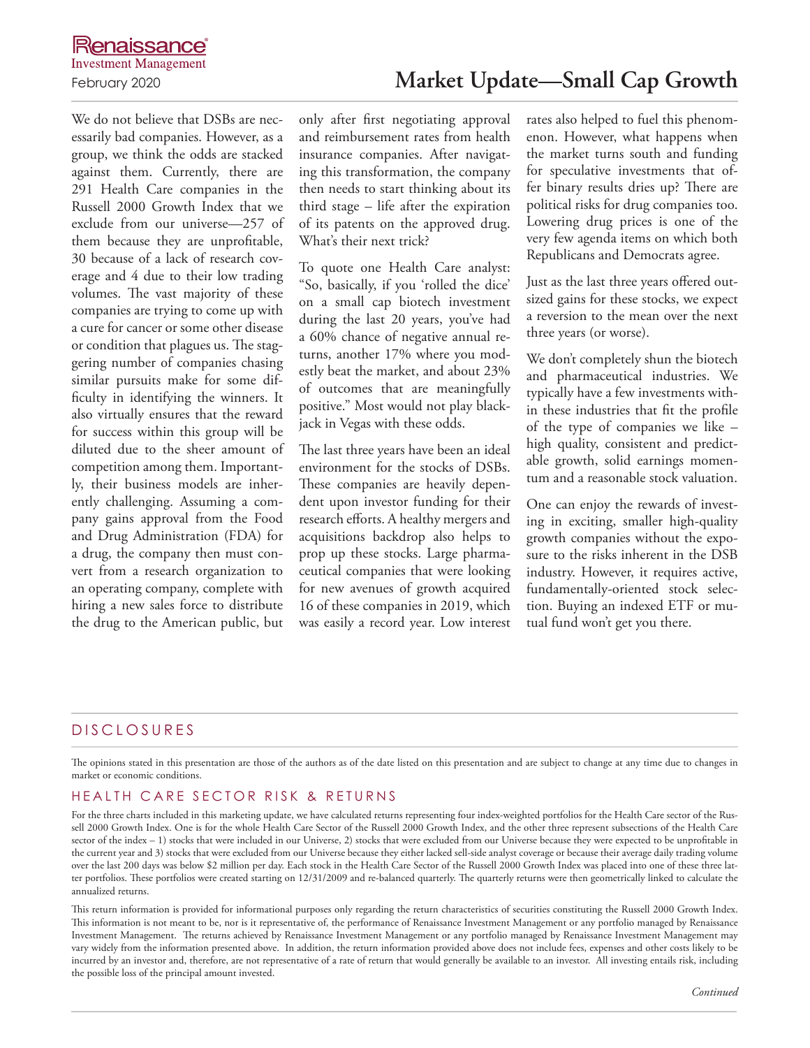a cure for cancer or some other disease or condition that plagues us. The staggering number of companies chasing similar pursuits make for some difficulty in identifying the winners. It also virtually ensures that the reward for success within this group will be diluted due to the sheer amount of competition among them. Importantly, their business models are inherently challenging. Assuming a company gains approval from the Food and Drug Administration (FDA) for a drug, the company then must convert from a research organization to an operating company, complete with hiring a new sales force to distribute the drug to the American public, but

We do not believe that DSBs are necessarily bad companies. However, as a group, we think the odds are stacked against them. Currently, there are 291 Health Care companies in the Russell 2000 Growth Index that we exclude from our universe—257 of them because they are unprofitable, 30 because of a lack of research coverage and 4 due to their low trading volumes. The vast majority of these companies are trying to come up with only after first negotiating approval and reimbursement rates from health insurance companies. After navigating this transformation, the company then needs to start thinking about its third stage – life after the expiration of its patents on the approved drug. What's their next trick? To quote one Health Care analyst: "So, basically, if you 'rolled the dice'

on a small cap biotech investment during the last 20 years, you've had a 60% chance of negative annual returns, another 17% where you modestly beat the market, and about 23% of outcomes that are meaningfully positive." Most would not play blackjack in Vegas with these odds.

The last three years have been an ideal environment for the stocks of DSBs. These companies are heavily dependent upon investor funding for their research efforts. A healthy mergers and acquisitions backdrop also helps to prop up these stocks. Large pharmaceutical companies that were looking for new avenues of growth acquired 16 of these companies in 2019, which was easily a record year. Low interest rates also helped to fuel this phenomenon. However, what happens when the market turns south and funding for speculative investments that offer binary results dries up? There are political risks for drug companies too. Lowering drug prices is one of the very few agenda items on which both Republicans and Democrats agree.

Just as the last three years offered outsized gains for these stocks, we expect a reversion to the mean over the next three years (or worse).

We don't completely shun the biotech and pharmaceutical industries. We typically have a few investments within these industries that fit the profile of the type of companies we like – high quality, consistent and predictable growth, solid earnings momentum and a reasonable stock valuation.

One can enjoy the rewards of investing in exciting, smaller high-quality growth companies without the exposure to the risks inherent in the DSB industry. However, it requires active, fundamentally-oriented stock selection. Buying an indexed ETF or mutual fund won't get you there.

### D IS CLOSURES

The opinions stated in this presentation are those of the authors as of the date listed on this presentation and are subject to change at any time due to changes in market or economic conditions.

### HEALTH CARE SECTOR RISK & RETURNS

For the three charts included in this marketing update, we have calculated returns representing four index-weighted portfolios for the Health Care sector of the Russell 2000 Growth Index. One is for the whole Health Care Sector of the Russell 2000 Growth Index, and the other three represent subsections of the Health Care sector of the index - 1) stocks that were included in our Universe, 2) stocks that were excluded from our Universe because they were expected to be unprofitable in the current year and 3) stocks that were excluded from our Universe because they either lacked sell-side analyst coverage or because their average daily trading volume over the last 200 days was below \$2 million per day. Each stock in the Health Care Sector of the Russell 2000 Growth Index was placed into one of these three latter portfolios. These portfolios were created starting on 12/31/2009 and re-balanced quarterly. The quarterly returns were then geometrically linked to calculate the annualized returns.

This return information is provided for informational purposes only regarding the return characteristics of securities constituting the Russell 2000 Growth Index. This information is not meant to be, nor is it representative of, the performance of Renaissance Investment Management or any portfolio managed by Renaissance Investment Management. The returns achieved by Renaissance Investment Management or any portfolio managed by Renaissance Investment Management may vary widely from the information presented above. In addition, the return information provided above does not include fees, expenses and other costs likely to be incurred by an investor and, therefore, are not representative of a rate of return that would generally be available to an investor. All investing entails risk, including the possible loss of the principal amount invested.

# February 2020 **Market Update—Small Cap Growth**